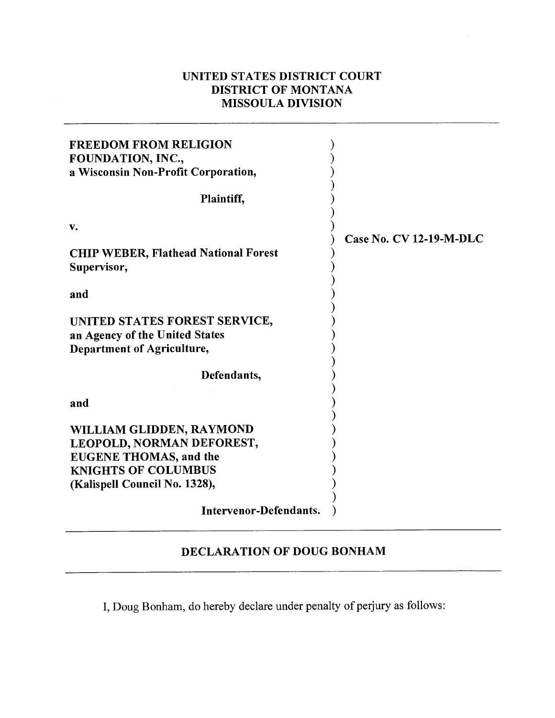## **UNITED STATES DISTRICT COURT DISTRICT OF MONTANA MISSOULA DIVISION**

| <b>FREEDOM FROM RELIGION</b><br>FOUNDATION, INC.,<br>a Wisconsin Non-Profit Corporation,                                                              |                                |
|-------------------------------------------------------------------------------------------------------------------------------------------------------|--------------------------------|
| Plaintiff,                                                                                                                                            |                                |
| v.                                                                                                                                                    | <b>Case No. CV 12-19-M-DLC</b> |
| <b>CHIP WEBER, Flathead National Forest</b><br>Supervisor,                                                                                            |                                |
| and                                                                                                                                                   |                                |
| UNITED STATES FOREST SERVICE,<br>an Agency of the United States<br>Department of Agriculture,                                                         |                                |
| Defendants,                                                                                                                                           |                                |
| and                                                                                                                                                   |                                |
| WILLIAM GLIDDEN, RAYMOND<br>LEOPOLD, NORMAN DEFOREST,<br><b>EUGENE THOMAS, and the</b><br><b>KNIGHTS OF COLUMBUS</b><br>(Kalispell Council No. 1328), |                                |
| Intervenor-Defendants.                                                                                                                                |                                |

## **DECLARATION OF DOUG BONHAM**

I, Doug Bonham, do hereby declare under penalty of perjury as follows: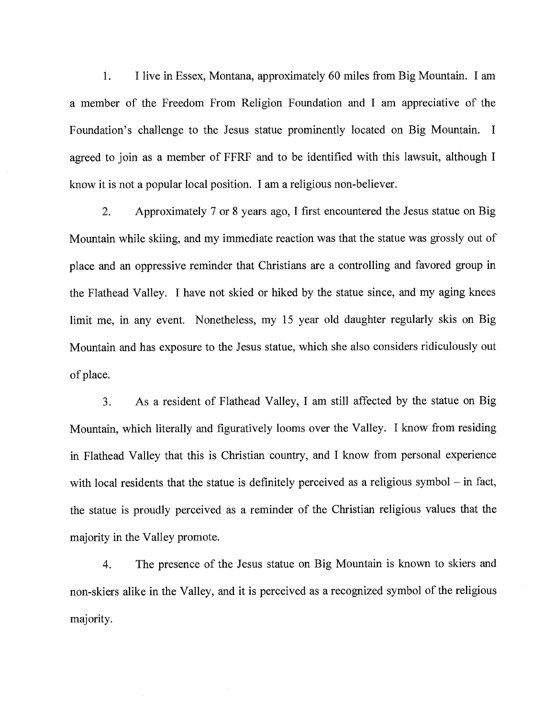1. I live in Essex, Montana, approximately 60 miles from Big Mountain. I am a member of the Freedom From Religion Foundation and I am appreciative of the Foundation's challenge to the Jesus statue prominently located on Big Mountain. I agreed to join as a member of FFRF and to be identified with this lawsuit, although I know it is not a popular local position. I am a religious non-believer.

2. Approximately 7 or 8 years ago, I first encountered the Jesus statue on Big Mountain while skiing, and my immediate reaction was that the statue was grossly out of place and an oppressive reminder that Christians are a controlling and favored group in the Flathead Valley. I have not skied or hiked by the statue since, and my aging knees limit me, in any event. Nonetheless, my 15 year old daughter regularly skis on Big Mountain and has exposure to the Jesus statue, which she also considers ridiculously out of place.

3. As a resident of Flathead Valley, I am still affected by the statue on Big Mountain, which literally and figuratively looms over the Valley. I know from residing in Flathead Valley that this is Christian country, and I know from personal experience with local residents that the statue is definitely perceived as a religious symbol – in fact, the statue is proudly perceived as a reminder of the Christian religious values that the majority in the Valley promote.

4. The presence of the Jesus statue on Big Mountain is known to skiers and non-skiers alike in the Valley, and it is perceived as a recognized symbol of the religious majority.